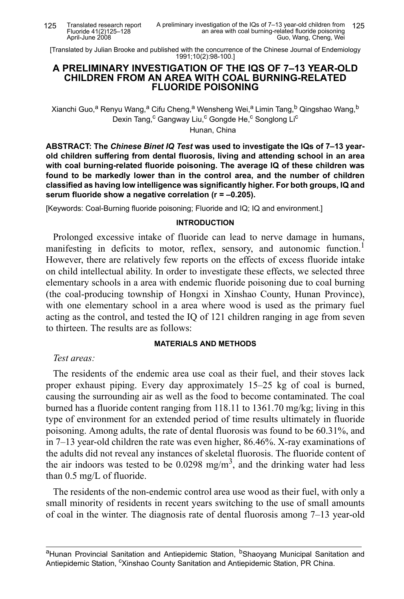Translated research report Fluoride 41(2)125–128 April-June 2008

[Translated by Julian Brooke and published with the concurrence of the Chinese Journal of Endemiology 1991;10(2):98-100.]

### **A PRELIMINARY INVESTIGATION OF THE IQS OF 7–13 YEAR-OLD CHILDREN FROM AN AREA WITH COAL BURNING-RELATED FLUORIDE POISONING**

Xianchi Guo,<sup>a</sup> Renyu Wang,<sup>a</sup> Cifu Cheng,<sup>a</sup> Wensheng Wei,<sup>a</sup> Limin Tang,<sup>b</sup> Qingshao Wang,<sup>b</sup> Dexin Tang,<sup>c</sup> Gangway Liu,<sup>c</sup> Gongde He,<sup>c</sup> Songlong Li<sup>c</sup>

Hunan, China

**ABSTRACT: The** *Chinese Binet IQ Test* **was used to investigate the IQs of 7–13 yearold children suffering from dental fluorosis, living and attending school in an area with coal burning-related fluoride poisoning. The average IQ of these children was found to be markedly lower than in the control area, and the number of children classified as having low intelligence was significantly higher. For both groups, IQ and serum fluoride show a negative correlation (r = –0.205).**

[Keywords: Coal-Burning fluoride poisoning; Fluoride and IQ; IQ and environment.]

## **INTRODUCTION**

Prolonged excessive intake of fluoride can lead to nerve damage in humans, manifesting in deficits to motor, reflex, sensory, and autonomic function.<sup>1</sup> However, there are relatively few reports on the effects of excess fluoride intake on child intellectual ability. In order to investigate these effects, we selected three elementary schools in a area with endemic fluoride poisoning due to coal burning (the coal-producing township of Hongxi in Xinshao County, Hunan Province), with one elementary school in a area where wood is used as the primary fuel acting as the control, and tested the IQ of 121 children ranging in age from seven to thirteen. The results are as follows:

## **MATERIALS AND METHODS**

*Test areas:*

The residents of the endemic area use coal as their fuel, and their stoves lack proper exhaust piping. Every day approximately 15–25 kg of coal is burned, causing the surrounding air as well as the food to become contaminated. The coal burned has a fluoride content ranging from 118.11 to 1361.70 mg/kg; living in this type of environment for an extended period of time results ultimately in fluoride poisoning. Among adults, the rate of dental fluorosis was found to be 60.31%, and in 7–13 year-old children the rate was even higher, 86.46%. X-ray examinations of the adults did not reveal any instances of skeletal fluorosis. The fluoride content of the air indoors was tested to be  $0.0298$  mg/m<sup>3</sup>, and the drinking water had less than 0.5 mg/L of fluoride.

The residents of the non-endemic control area use wood as their fuel, with only a small minority of residents in recent years switching to the use of small amounts of coal in the winter. The diagnosis rate of dental fluorosis among 7–13 year-old

<sup>a</sup>Hunan Provincial Sanitation and Antiepidemic Station, <sup>b</sup>Shaoyang Municipal Sanitation and Antiepidemic Station, <sup>c</sup>Xinshao County Sanitation and Antiepidemic Station, PR China.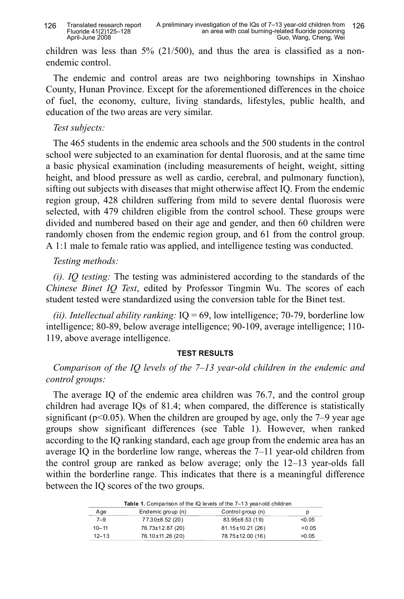children was less than  $5\%$  (21/500), and thus the area is classified as a nonendemic control.

The endemic and control areas are two neighboring townships in Xinshao County, Hunan Province. Except for the aforementioned differences in the choice of fuel, the economy, culture, living standards, lifestyles, public health, and education of the two areas are very similar.

## *Test subjects:*

The 465 students in the endemic area schools and the 500 students in the control school were subjected to an examination for dental fluorosis, and at the same time a basic physical examination (including measurements of height, weight, sitting height, and blood pressure as well as cardio, cerebral, and pulmonary function), sifting out subjects with diseases that might otherwise affect IQ. From the endemic region group, 428 children suffering from mild to severe dental fluorosis were selected, with 479 children eligible from the control school. These groups were divided and numbered based on their age and gender, and then 60 children were randomly chosen from the endemic region group, and 61 from the control group. A 1:1 male to female ratio was applied, and intelligence testing was conducted.

# *Testing methods:*

*(i). IQ testing:* The testing was administered according to the standards of the *Chinese Binet IQ Test*, edited by Professor Tingmin Wu. The scores of each student tested were standardized using the conversion table for the Binet test.

*(ii). Intellectual ability ranking:* IQ = 69, low intelligence; 70-79, borderline low intelligence; 80-89, below average intelligence; 90-109, average intelligence; 110- 119, above average intelligence.

# **TEST RESULTS**

# *Comparison of the IQ levels of the 7–13 year-old children in the endemic and control groups:*

The average IQ of the endemic area children was 76.7, and the control group children had average IQs of 81.4; when compared, the difference is statistically significant ( $p<0.05$ ). When the children are grouped by age, only the 7–9 year age groups show significant differences (see Table 1). However, when ranked according to the IQ ranking standard, each age group from the endemic area has an average IQ in the borderline low range, whereas the 7–11 year-old children from the control group are ranked as below average; only the 12–13 year-olds fall within the borderline range. This indicates that there is a meaningful difference between the IQ scores of the two groups.

| <b>Table 1.</b> Comparison of the IQ levels of the 7–13 year-old children |                   |                   |        |  |  |  |  |  |
|---------------------------------------------------------------------------|-------------------|-------------------|--------|--|--|--|--|--|
| Age                                                                       | Endemic group (n) | Control group (n) | р      |  |  |  |  |  |
| $7 - 9$                                                                   | 77.30±8.52 (20)   | 83.95±8.53 (19)   | < 0.05 |  |  |  |  |  |
| $10 - 11$                                                                 | 76.73±12.87 (20)  | 81.15±10.21 (26)  | > 0.05 |  |  |  |  |  |
| $12 - 13$                                                                 | 76.10±11.26 (20)  | 78.75±12.00 (16)  | >0.05  |  |  |  |  |  |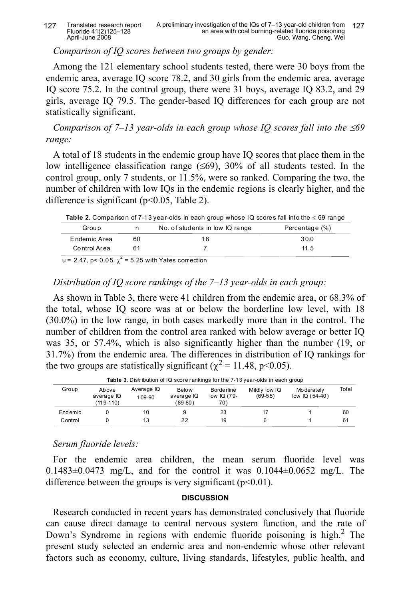Translated research report Fluoride 41(2)125–128 April-June 2008

*Comparison of IQ scores between two groups by gender:*

Among the 121 elementary school students tested, there were 30 boys from the endemic area, average IQ score 78.2, and 30 girls from the endemic area, average IQ score 75.2. In the control group, there were 31 boys, average IQ 83.2, and 29 girls, average IQ 79.5. The gender-based IQ differences for each group are not statistically significant.

*Comparison of 7–13 year-olds in each group whose IQ scores fall into the* ≤69 *range:*

A total of 18 students in the endemic group have IQ scores that place them in the low intelligence classification range  $(\leq 69)$ , 30% of all students tested. In the control group, only 7 students, or 11.5%, were so ranked. Comparing the two, the number of children with low IQs in the endemic regions is clearly higher, and the difference is significant (p<0.05, Table 2).

**Table 2.** Comparison of 7-13 year-olds in each group whose IQ scores fall into the  $\leq$  69 range Group n No. of students in low IQ range Percentage (%) Endemic Area Control Area 60 61 18 7 30.0 11.5

 $u = 2.47$ , p< 0.05,  $\chi^2 = 5.25$  with Yates correction

## *Distribution of IQ score rankings of the 7–13 year-olds in each group:*

As shown in Table 3, there were 41 children from the endemic area, or 68.3% of the total, whose IQ score was at or below the borderline low level, with 18 (30.0%) in the low range, in both cases markedly more than in the control. The number of children from the control area ranked with below average or better IQ was 35, or 57.4%, which is also significantly higher than the number (19, or 31.7%) from the endemic area. The differences in distribution of IQ rankings for the two groups are statistically significant ( $\chi^2$  = 11.48, p<0.05).

| <b>Table 3.</b> Distribution of IQ score rankings for the 7-13 year-olds in each group |                                  |                      |                                         |                                    |                            |                                |       |  |  |
|----------------------------------------------------------------------------------------|----------------------------------|----------------------|-----------------------------------------|------------------------------------|----------------------------|--------------------------------|-------|--|--|
| Group                                                                                  | Above<br>average IQ<br>(119-110) | Average IQ<br>109-90 | <b>Below</b><br>average IQ<br>$(89-80)$ | Borde rline<br>low $IQ(79-$<br>70) | Mildly low IQ<br>$(69-55)$ | Mo derately<br>low $IQ(54-40)$ | Total |  |  |
| Endemic                                                                                |                                  | 10                   | 9                                       | 23                                 |                            |                                | 60    |  |  |
| Control                                                                                |                                  | 13                   | 22                                      | 19                                 | 6                          |                                | 61    |  |  |

*Serum fluoride levels:*

For the endemic area children, the mean serum fluoride level was 0.1483 $\pm$ 0.0473 mg/L, and for the control it was 0.1044 $\pm$ 0.0652 mg/L. The difference between the groups is very significant  $(p<0.01)$ .

#### **DISCUSSION**

Research conducted in recent years has demonstrated conclusively that fluoride can cause direct damage to central nervous system function, and the rate of Down's Syndrome in regions with endemic fluoride poisoning is high.<sup>2</sup> The present study selected an endemic area and non-endemic whose other relevant factors such as economy, culture, living standards, lifestyles, public health, and